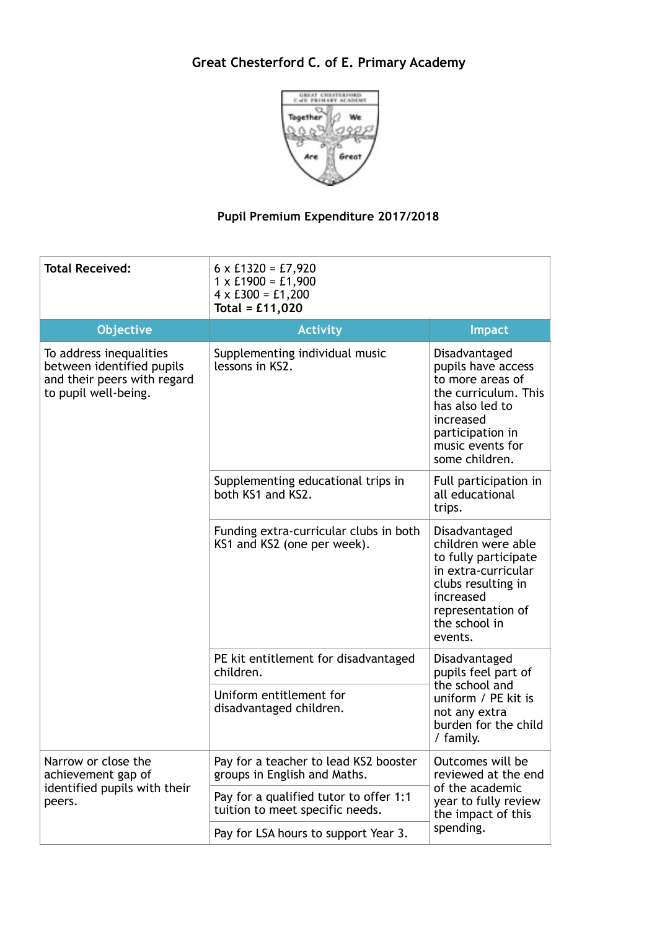## **Great Chesterford C. of E. Primary Academy**



## **Pupil Premium Expenditure 2017/2018**

| <b>Total Received:</b>                                                                                      | $6 \times £1320 = £7,920$<br>$1 \times £1900 = £1,900$<br>$4 \times £300 = £1,200$<br>Total = $£11,020$ |                                                                                                                                                                           |
|-------------------------------------------------------------------------------------------------------------|---------------------------------------------------------------------------------------------------------|---------------------------------------------------------------------------------------------------------------------------------------------------------------------------|
| <b>Objective</b>                                                                                            | <b>Activity</b>                                                                                         | <b>Impact</b>                                                                                                                                                             |
| To address inequalities<br>between identified pupils<br>and their peers with regard<br>to pupil well-being. | Supplementing individual music<br>lessons in KS2.                                                       | Disadvantaged<br>pupils have access<br>to more areas of<br>the curriculum. This<br>has also led to<br>increased<br>participation in<br>music events for<br>some children. |
|                                                                                                             | Supplementing educational trips in<br>both KS1 and KS2.                                                 | Full participation in<br>all educational<br>trips.                                                                                                                        |
|                                                                                                             | Funding extra-curricular clubs in both<br>KS1 and KS2 (one per week).                                   | Disadvantaged<br>children were able<br>to fully participate<br>in extra-curricular<br>clubs resulting in<br>increased<br>representation of<br>the school in<br>events.    |
|                                                                                                             | PE kit entitlement for disadvantaged<br>children.                                                       | Disadvantaged<br>pupils feel part of<br>the school and<br>uniform / PE kit is<br>not any extra<br>burden for the child<br>/ family.                                       |
|                                                                                                             | Uniform entitlement for<br>disadvantaged children.                                                      |                                                                                                                                                                           |
| Narrow or close the<br>achievement gap of<br>identified pupils with their<br>peers.                         | Pay for a teacher to lead KS2 booster<br>groups in English and Maths.                                   | Outcomes will be<br>reviewed at the end<br>of the academic<br>year to fully review<br>the impact of this<br>spending.                                                     |
|                                                                                                             | Pay for a qualified tutor to offer 1:1<br>tuition to meet specific needs.                               |                                                                                                                                                                           |
|                                                                                                             | Pay for LSA hours to support Year 3.                                                                    |                                                                                                                                                                           |